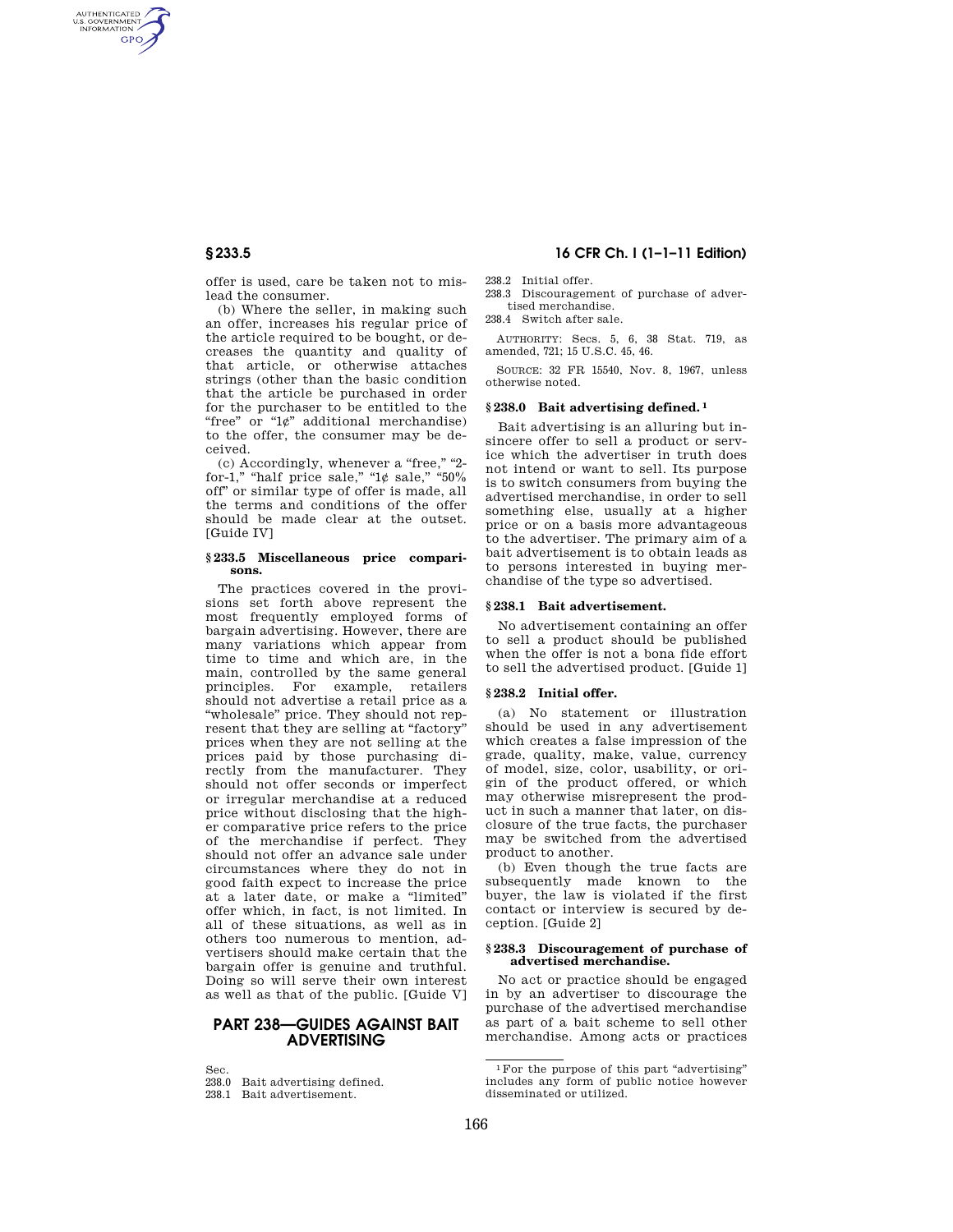AUTHENTICATED<br>U.S. GOVERNMENT<br>INFORMATION **GPO** 

> offer is used, care be taken not to mislead the consumer.

> (b) Where the seller, in making such an offer, increases his regular price of the article required to be bought, or decreases the quantity and quality of that article, or otherwise attaches strings (other than the basic condition that the article be purchased in order for the purchaser to be entitled to the "free" or "1¢" additional merchandise) to the offer, the consumer may be deceived.

> (c) Accordingly, whenever a "free," "2for-1," "half price sale," " $1¢$  sale," " $50\%$ off'' or similar type of offer is made, all the terms and conditions of the offer should be made clear at the outset. [Guide IV]

#### **§ 233.5 Miscellaneous price comparisons.**

The practices covered in the provisions set forth above represent the most frequently employed forms of bargain advertising. However, there are many variations which appear from time to time and which are, in the main, controlled by the same general principles. For example, retailers should not advertise a retail price as a ''wholesale'' price. They should not represent that they are selling at "factory" prices when they are not selling at the prices paid by those purchasing directly from the manufacturer. They should not offer seconds or imperfect or irregular merchandise at a reduced price without disclosing that the higher comparative price refers to the price of the merchandise if perfect. They should not offer an advance sale under circumstances where they do not in good faith expect to increase the price at a later date, or make a ''limited'' offer which, in fact, is not limited. In all of these situations, as well as in others too numerous to mention, advertisers should make certain that the bargain offer is genuine and truthful. Doing so will serve their own interest as well as that of the public. [Guide V]

# **PART 238—GUIDES AGAINST BAIT ADVERTISING**

Sec.

- 238.0 Bait advertising defined.
- 238.1 Bait advertisement.

# **§ 233.5 16 CFR Ch. I (1–1–11 Edition)**

238.2 Initial offer.

238.3 Discouragement of purchase of advertised merchandise.

238.4 Switch after sale.

AUTHORITY: Secs. 5, 6, 38 Stat. 719, as amended, 721; 15 U.S.C. 45, 46.

SOURCE: 32 FR 15540, Nov. 8, 1967, unless otherwise noted.

## **§ 238.0 Bait advertising defined. 1**

Bait advertising is an alluring but insincere offer to sell a product or service which the advertiser in truth does not intend or want to sell. Its purpose is to switch consumers from buying the advertised merchandise, in order to sell something else, usually at a higher price or on a basis more advantageous to the advertiser. The primary aim of a bait advertisement is to obtain leads as to persons interested in buying merchandise of the type so advertised.

### **§ 238.1 Bait advertisement.**

No advertisement containing an offer to sell a product should be published when the offer is not a bona fide effort to sell the advertised product. [Guide 1]

#### **§ 238.2 Initial offer.**

(a) No statement or illustration should be used in any advertisement which creates a false impression of the grade, quality, make, value, currency of model, size, color, usability, or origin of the product offered, or which may otherwise misrepresent the product in such a manner that later, on disclosure of the true facts, the purchaser may be switched from the advertised product to another.

(b) Even though the true facts are subsequently made known to the buyer, the law is violated if the first contact or interview is secured by deception. [Guide 2]

### **§ 238.3 Discouragement of purchase of advertised merchandise.**

No act or practice should be engaged in by an advertiser to discourage the purchase of the advertised merchandise as part of a bait scheme to sell other merchandise. Among acts or practices

<sup>&</sup>lt;sup>1</sup>For the purpose of this part "advertising" includes any form of public notice however disseminated or utilized.